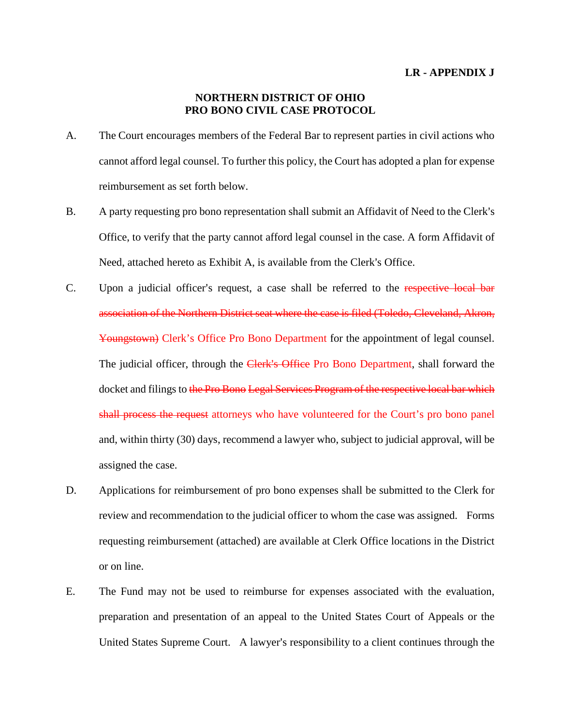## **LR - APPENDIX J**

## **NORTHERN DISTRICT OF OHIO PRO BONO CIVIL CASE PROTOCOL**

- A. The Court encourages members of the Federal Bar to represent parties in civil actions who cannot afford legal counsel. To further this policy, the Court has adopted a plan for expense reimbursement as set forth below.
- B. A party requesting pro bono representation shall submit an Affidavit of Need to the Clerk's Office, to verify that the party cannot afford legal counsel in the case. A form Affidavit of Need, attached hereto as Exhibit A, is available from the Clerk's Office.
- C. Upon a judicial officer's request, a case shall be referred to the respective local bar association of the Northern District seat where the case is filed (Toledo, Cleveland, Akron, Youngstown) Clerk's Office Pro Bono Department for the appointment of legal counsel. The judicial officer, through the Clerk's Office Pro Bono Department, shall forward the docket and filings to the Pro Bono Legal Services Program of the respective local bar which shall process the request attorneys who have volunteered for the Court's pro bono panel and, within thirty (30) days, recommend a lawyer who, subject to judicial approval, will be assigned the case.
- D. Applications for reimbursement of pro bono expenses shall be submitted to the Clerk for review and recommendation to the judicial officer to whom the case was assigned. Forms requesting reimbursement (attached) are available at Clerk Office locations in the District or on line.
- E. The Fund may not be used to reimburse for expenses associated with the evaluation, preparation and presentation of an appeal to the United States Court of Appeals or the United States Supreme Court. A lawyer's responsibility to a client continues through the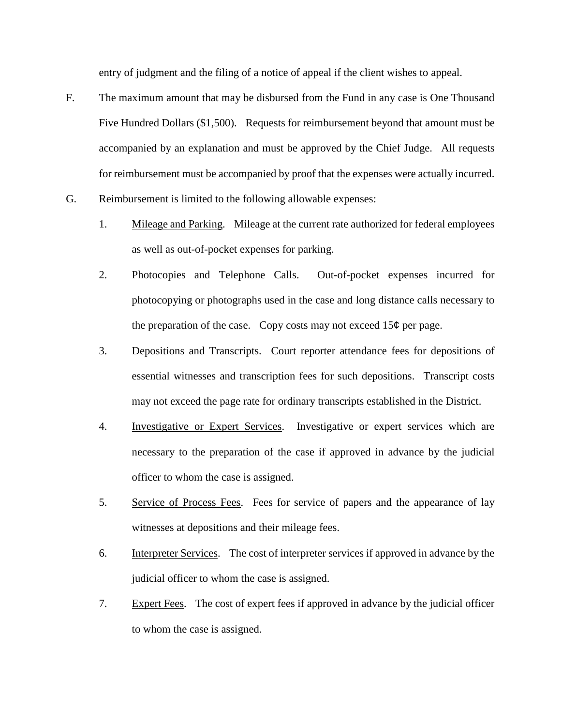entry of judgment and the filing of a notice of appeal if the client wishes to appeal.

- F. The maximum amount that may be disbursed from the Fund in any case is One Thousand Five Hundred Dollars (\$1,500). Requests for reimbursement beyond that amount must be accompanied by an explanation and must be approved by the Chief Judge. All requests for reimbursement must be accompanied by proof that the expenses were actually incurred.
- G. Reimbursement is limited to the following allowable expenses:
	- 1. Mileage and Parking. Mileage at the current rate authorized for federal employees as well as out-of-pocket expenses for parking.
	- 2. Photocopies and Telephone Calls. Out-of-pocket expenses incurred for photocopying or photographs used in the case and long distance calls necessary to the preparation of the case. Copy costs may not exceed  $15¢$  per page.
	- 3. Depositions and Transcripts. Court reporter attendance fees for depositions of essential witnesses and transcription fees for such depositions. Transcript costs may not exceed the page rate for ordinary transcripts established in the District.
	- 4. Investigative or Expert Services. Investigative or expert services which are necessary to the preparation of the case if approved in advance by the judicial officer to whom the case is assigned.
	- 5. Service of Process Fees. Fees for service of papers and the appearance of lay witnesses at depositions and their mileage fees.
	- 6. Interpreter Services. The cost of interpreter services if approved in advance by the judicial officer to whom the case is assigned.
	- 7. Expert Fees. The cost of expert fees if approved in advance by the judicial officer to whom the case is assigned.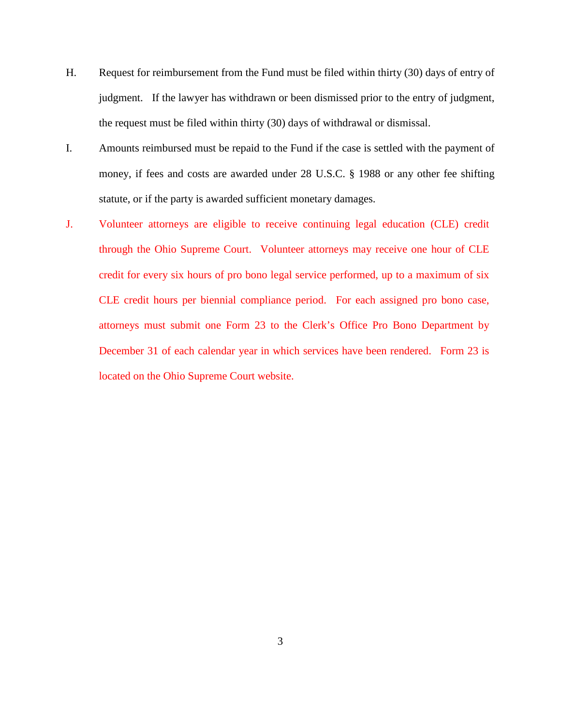- H. Request for reimbursement from the Fund must be filed within thirty (30) days of entry of judgment. If the lawyer has withdrawn or been dismissed prior to the entry of judgment, the request must be filed within thirty (30) days of withdrawal or dismissal.
- I. Amounts reimbursed must be repaid to the Fund if the case is settled with the payment of money, if fees and costs are awarded under 28 U.S.C. § 1988 or any other fee shifting statute, or if the party is awarded sufficient monetary damages.
- J. Volunteer attorneys are eligible to receive continuing legal education (CLE) credit through the Ohio Supreme Court. Volunteer attorneys may receive one hour of CLE credit for every six hours of pro bono legal service performed, up to a maximum of six CLE credit hours per biennial compliance period. For each assigned pro bono case, attorneys must submit one Form 23 to the Clerk's Office Pro Bono Department by December 31 of each calendar year in which services have been rendered. Form 23 is located on the Ohio Supreme Court website.